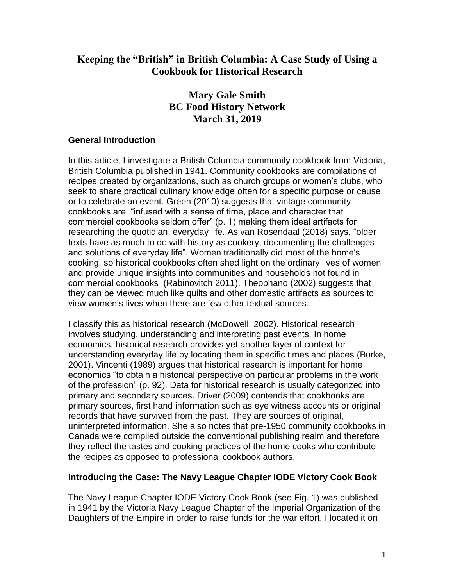# **Keeping the "British" in British Columbia: A Case Study of Using a Cookbook for Historical Research**

# **Mary Gale Smith BC Food History Network March 31, 2019**

### **General Introduction**

In this article, I investigate a British Columbia community cookbook from Victoria, British Columbia published in 1941. Community cookbooks are compilations of recipes created by organizations, such as church groups or women's clubs, who seek to share practical culinary knowledge often for a specific purpose or cause or to celebrate an event. Green (2010) suggests that vintage community cookbooks are "infused with a sense of time, place and character that commercial cookbooks seldom offer" (p. 1) making them ideal artifacts for researching the quotidian, everyday life. As van Rosendaal (2018) says, "older texts have as much to do with history as cookery, documenting the challenges and solutions of everyday life". Women traditionally did most of the home's cooking, so historical cookbooks often shed light on the ordinary lives of women and provide unique insights into communities and households not found in commercial cookbooks (Rabinovitch 2011). Theophano (2002) suggests that they can be viewed much like quilts and other domestic artifacts as sources to view women's lives when there are few other textual sources.

I classify this as historical research (McDowell, 2002). Historical research involves studying, understanding and interpreting past events. In home economics, historical research provides yet another layer of context for understanding everyday life by locating them in specific times and places (Burke, 2001). Vincenti (1989) argues that historical research is important for home economics "to obtain a historical perspective on particular problems in the work of the profession" (p. 92). Data for historical research is usually categorized into primary and secondary sources. Driver (2009) contends that cookbooks are primary sources, first hand information such as eye witness accounts or original records that have survived from the past. They are sources of original, uninterpreted information. She also notes that pre-1950 community cookbooks in Canada were compiled outside the conventional publishing realm and therefore they reflect the tastes and cooking practices of the home cooks who contribute the recipes as opposed to professional cookbook authors.

## **Introducing the Case: The Navy League Chapter IODE Victory Cook Book**

The Navy League Chapter IODE Victory Cook Book (see Fig. 1) was published in 1941 by the Victoria Navy League Chapter of the Imperial Organization of the Daughters of the Empire in order to raise funds for the war effort. I located it on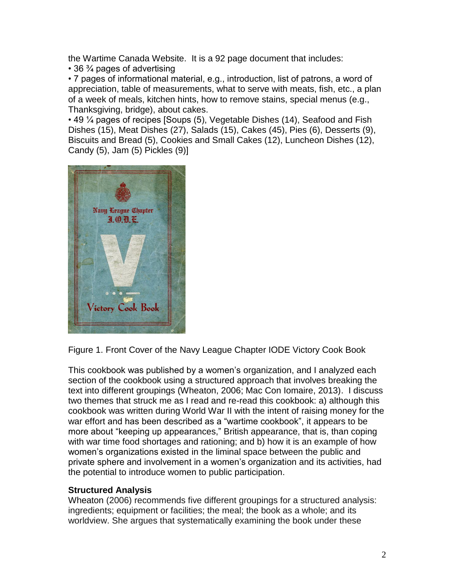the Wartime Canada Website. It is a 92 page document that includes:

• 36 ¾ pages of advertising

• 7 pages of informational material, e.g., introduction, list of patrons, a word of appreciation, table of measurements, what to serve with meats, fish, etc., a plan of a week of meals, kitchen hints, how to remove stains, special menus (e.g., Thanksgiving, bridge), about cakes.

• 49 ¼ pages of recipes [Soups (5), Vegetable Dishes (14), Seafood and Fish Dishes (15), Meat Dishes (27), Salads (15), Cakes (45), Pies (6), Desserts (9), Biscuits and Bread (5), Cookies and Small Cakes (12), Luncheon Dishes (12), Candy (5), Jam (5) Pickles (9)]



Figure 1. Front Cover of the Navy League Chapter IODE Victory Cook Book

This cookbook was published by a women's organization, and I analyzed each section of the cookbook using a structured approach that involves breaking the text into different groupings (Wheaton, 2006; Mac Con Iomaire, 2013). I discuss two themes that struck me as I read and re-read this cookbook: a) although this cookbook was written during World War II with the intent of raising money for the war effort and has been described as a "wartime cookbook", it appears to be more about "keeping up appearances," British appearance, that is, than coping with war time food shortages and rationing; and b) how it is an example of how women's organizations existed in the liminal space between the public and private sphere and involvement in a women's organization and its activities, had the potential to introduce women to public participation.

### **Structured Analysis**

Wheaton (2006) recommends five different groupings for a structured analysis: ingredients; equipment or facilities; the meal; the book as a whole; and its worldview. She argues that systematically examining the book under these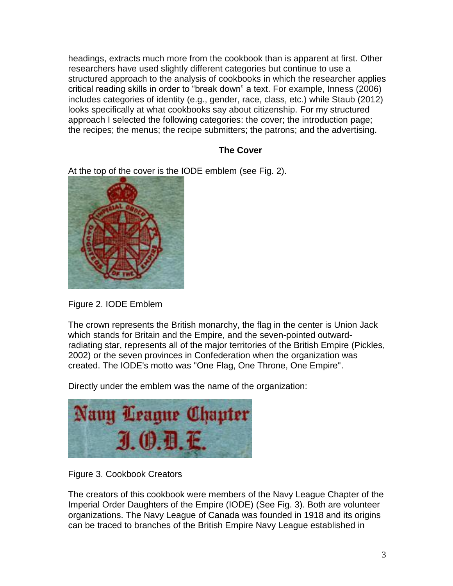headings, extracts much more from the cookbook than is apparent at first. Other researchers have used slightly different categories but continue to use a structured approach to the analysis of cookbooks in which the researcher applies critical reading skills in order to "break down" a text. For example, Inness (2006) includes categories of identity (e.g., gender, race, class, etc.) while Staub (2012) looks specifically at what cookbooks say about citizenship. For my structured approach I selected the following categories: the cover; the introduction page; the recipes; the menus; the recipe submitters; the patrons; and the advertising.

## **The Cover**

At the top of the cover is the IODE emblem (see Fig. 2).



Figure 2. IODE Emblem

The crown represents the British monarchy, the flag in the center is Union Jack which stands for Britain and the Empire, and the seven-pointed outwardradiating star, represents all of the major territories of the British Empire (Pickles, 2002) or the seven provinces in Confederation when the organization was created. The IODE's motto was "One Flag, One Throne, One Empire".

Directly under the emblem was the name of the organization:



Figure 3. Cookbook Creators

The creators of this cookbook were members of the Navy League Chapter of the Imperial Order Daughters of the Empire (IODE) (See Fig. 3). Both are volunteer organizations. The Navy League of Canada was founded in 1918 and its origins can be traced to branches of the British Empire Navy League established in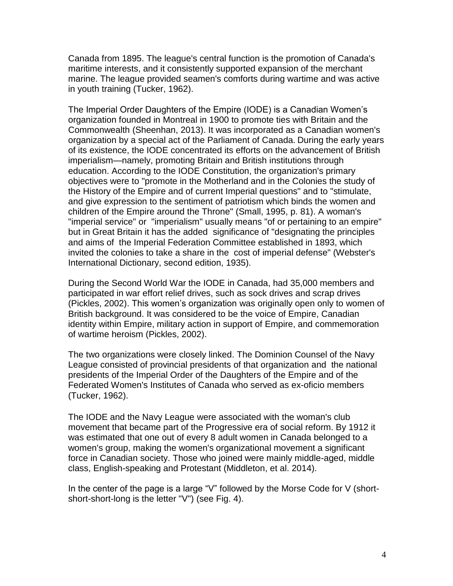Canada from 1895. The league's central function is the promotion of Canada's maritime interests, and it consistently supported expansion of the merchant marine. The league provided seamen's comforts during wartime and was active in youth training (Tucker, 1962).

The Imperial Order Daughters of the Empire (IODE) is a Canadian Women's organization founded in Montreal in 1900 to promote ties with Britain and the Commonwealth (Sheenhan, 2013). It was incorporated as a Canadian women's organization by a special act of the Parliament of Canada. During the early years of its existence, the IODE concentrated its efforts on the advancement of British imperialism—namely, promoting Britain and British institutions through education. According to the IODE Constitution, the organization's primary objectives were to "promote in the Motherland and in the Colonies the study of the History of the Empire and of current Imperial questions" and to "stimulate, and give expression to the sentiment of patriotism which binds the women and children of the Empire around the Throne" (Small, 1995, p. 81). A woman's "imperial service" or "imperialism" usually means "of or pertaining to an empire" but in Great Britain it has the added significance of "designating the principles and aims of the Imperial Federation Committee established in 1893, which invited the colonies to take a share in the cost of imperial defense" (Webster's International Dictionary, second edition, 1935).

During the Second World War the IODE in Canada, had 35,000 members and participated in war effort relief drives, such as sock drives and scrap drives (Pickles, 2002). This women's organization was originally open only to women of British background. It was considered to be the voice of Empire, Canadian identity within Empire, military action in support of Empire, and commemoration of wartime heroism (Pickles, 2002).

The two organizations were closely linked. The Dominion Counsel of the Navy League consisted of provincial presidents of that organization and the national presidents of the Imperial Order of the Daughters of the Empire and of the Federated Women's Institutes of Canada who served as ex-oficio members (Tucker, 1962).

The IODE and the Navy League were associated with the woman's club movement that became part of the Progressive era of social reform. By 1912 it was estimated that one out of every 8 adult women in Canada belonged to a women's group, making the women's organizational movement a significant force in Canadian society. Those who joined were mainly middle-aged, middle class, English-speaking and Protestant (Middleton, et al. 2014).

In the center of the page is a large "V" followed by the Morse Code for V (shortshort-short-long is the letter "V") (see Fig. 4).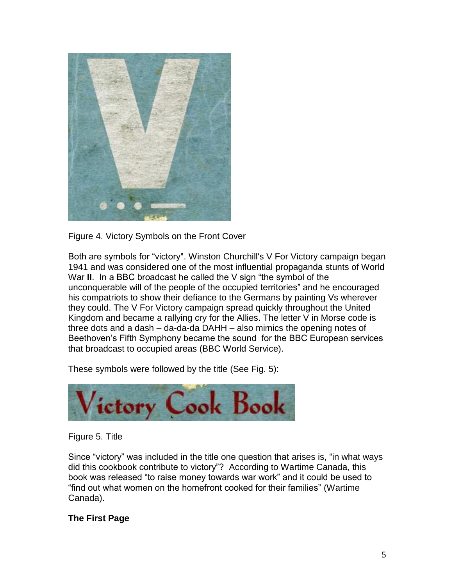

Figure 4. Victory Symbols on the Front Cover

Both are symbols for "victory". Winston Churchill's V For Victory campaign began 1941 and was considered one of the most influential propaganda stunts of World War **II**. In a BBC broadcast he called the V sign "the symbol of the unconquerable will of the people of the occupied territories" and he encouraged his compatriots to show their defiance to the Germans by painting Vs wherever they could. The V For Victory campaign spread quickly throughout the United Kingdom and became a rallying cry for the Allies. The letter V in Morse code is three dots and a dash – da-da-da DAHH – also mimics the opening notes of Beethoven's Fifth Symphony became the sound for the BBC European services that broadcast to occupied areas (BBC World Service).

These symbols were followed by the title (See Fig. 5):



Figure 5. Title

Since "victory" was included in the title one question that arises is, "in what ways did this cookbook contribute to victory"? According to Wartime Canada, this book was released "to raise money towards war work" and it could be used to "find out what women on the homefront cooked for their families" (Wartime Canada).

## **The First Page**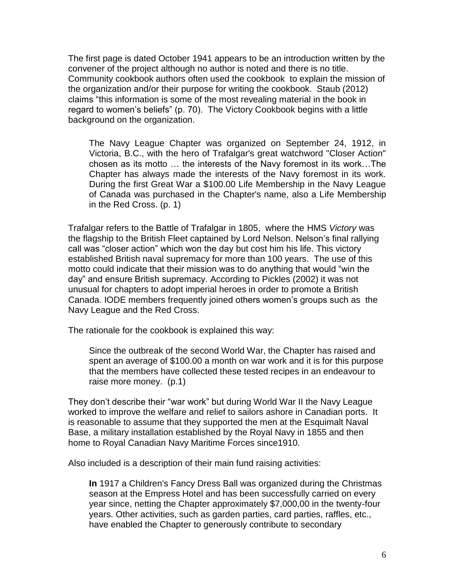The first page is dated October 1941 appears to be an introduction written by the convener of the project although no author is noted and there is no title. Community cookbook authors often used the cookbook to explain the mission of the organization and/or their purpose for writing the cookbook. Staub (2012) claims "this information is some of the most revealing material in the book in regard to women's beliefs" (p. 70). The Victory Cookbook begins with a little background on the organization.

The Navy League Chapter was organized on September 24, 1912, in Victoria, B.C., with the hero of Trafalgar's great watchword "Closer Action" chosen as its motto … the interests of the Navy foremost in its work…The Chapter has always made the interests of the Navy foremost in its work. During the first Great War a \$100.00 Life Membership in the Navy League of Canada was purchased in the Chapter's name, also a Life Membership in the Red Cross. (p. 1)

Trafalgar refers to the Battle of Trafalgar in 1805, where the HMS *Victory* was the flagship to the British Fleet captained by Lord Nelson. Nelson's final rallying call was "closer action" which won the day but cost him his life. This victory established British naval supremacy for more than 100 years. The use of this motto could indicate that their mission was to do anything that would "win the day" and ensure British supremacy. According to Pickles (2002) it was not unusual for chapters to adopt imperial heroes in order to promote a British Canada. IODE members frequently joined others women's groups such as the Navy League and the Red Cross.

The rationale for the cookbook is explained this way:

Since the outbreak of the second World War, the Chapter has raised and spent an average of \$100.00 a month on war work and it is for this purpose that the members have collected these tested recipes in an endeavour to raise more money. (p.1)

They don't describe their "war work" but during World War II the Navy League worked to improve the welfare and relief to sailors ashore in Canadian ports. It is reasonable to assume that they supported the men at the Esquimalt Naval Base, a military installation established by the Royal Navy in 1855 and then home to Royal Canadian Navy Maritime Forces since1910.

Also included is a description of their main fund raising activities:

**In** 1917 a Children's Fancy Dress Ball was organized during the Christmas season at the Empress Hotel and has been successfully carried on every year since, netting the Chapter approximately \$7,000,00 in the twenty-four years. Other activities, such as garden parties, card parties, raffles, etc., have enabled the Chapter to generously contribute to secondary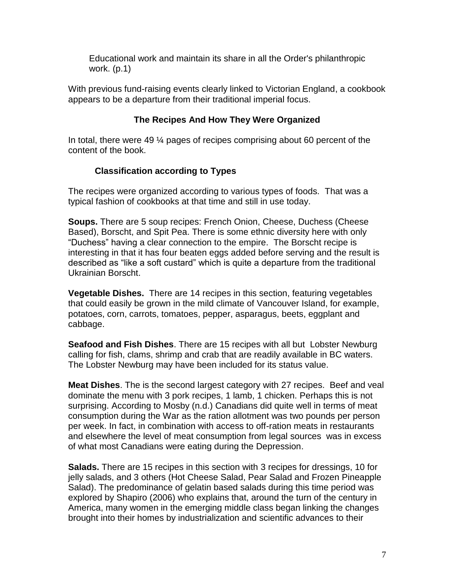Educational work and maintain its share in all the Order's philanthropic work. (p.1)

With previous fund-raising events clearly linked to Victorian England, a cookbook appears to be a departure from their traditional imperial focus.

## **The Recipes And How They Were Organized**

In total, there were 49 ¼ pages of recipes comprising about 60 percent of the content of the book.

# **Classification according to Types**

The recipes were organized according to various types of foods. That was a typical fashion of cookbooks at that time and still in use today.

**Soups.** There are 5 soup recipes: French Onion, Cheese, Duchess (Cheese Based), Borscht, and Spit Pea. There is some ethnic diversity here with only "Duchess" having a clear connection to the empire. The Borscht recipe is interesting in that it has four beaten eggs added before serving and the result is described as "like a soft custard" which is quite a departure from the traditional Ukrainian Borscht.

**Vegetable Dishes.** There are 14 recipes in this section, featuring vegetables that could easily be grown in the mild climate of Vancouver Island, for example, potatoes, corn, carrots, tomatoes, pepper, asparagus, beets, eggplant and cabbage.

**Seafood and Fish Dishes**. There are 15 recipes with all but Lobster Newburg calling for fish, clams, shrimp and crab that are readily available in BC waters. The Lobster Newburg may have been included for its status value.

**Meat Dishes**. The is the second largest category with 27 recipes. Beef and veal dominate the menu with 3 pork recipes, 1 lamb, 1 chicken. Perhaps this is not surprising. According to Mosby (n.d.) Canadians did quite well in terms of meat consumption during the War as the ration allotment was two pounds per person per week. In fact, in combination with access to off-ration meats in restaurants and elsewhere the level of meat consumption from legal sources was in excess of what most Canadians were eating during the Depression.

**Salads.** There are 15 recipes in this section with 3 recipes for dressings, 10 for jelly salads, and 3 others (Hot Cheese Salad, Pear Salad and Frozen Pineapple Salad). The predominance of gelatin based salads during this time period was explored by Shapiro (2006) who explains that, around the turn of the century in America, many women in the emerging middle class began linking the changes brought into their homes by industrialization and scientific advances to their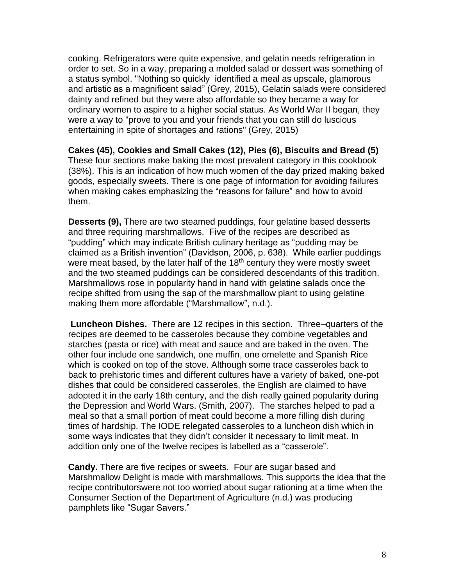cooking. Refrigerators were quite expensive, and gelatin needs refrigeration in order to set. So in a way, preparing a molded salad or dessert was something of a status symbol. "Nothing so quickly identified a meal as upscale, glamorous and artistic as a magnificent salad" (Grey, 2015), Gelatin salads were considered dainty and refined but they were also affordable so they became a way for ordinary women to aspire to a higher social status. As World War II began, they were a way to "prove to you and your friends that you can still do luscious entertaining in spite of shortages and rations" (Grey, 2015)

**Cakes (45), Cookies and Small Cakes (12), Pies (6), Biscuits and Bread (5)** These four sections make baking the most prevalent category in this cookbook (38%). This is an indication of how much women of the day prized making baked goods, especially sweets. There is one page of information for avoiding failures when making cakes emphasizing the "reasons for failure" and how to avoid them.

**Desserts (9),** There are two steamed puddings, four gelatine based desserts and three requiring marshmallows. Five of the recipes are described as "pudding" which may indicate British culinary heritage as "pudding may be claimed as a British invention" (Davidson, 2006, p. 638). While earlier puddings were meat based, by the later half of the  $18<sup>th</sup>$  century they were mostly sweet and the two steamed puddings can be considered descendants of this tradition. Marshmallows rose in popularity hand in hand with gelatine salads once the recipe shifted from using the sap of the marshmallow plant to using gelatine making them more affordable ("Marshmallow", n.d.).

**Luncheon Dishes.** There are 12 recipes in this section. Three–quarters of the recipes are deemed to be casseroles because they combine vegetables and starches (pasta or rice) with meat and sauce and are baked in the oven. The other four include one sandwich, one muffin, one omelette and Spanish Rice which is cooked on top of the stove. Although some trace casseroles back to back to prehistoric times and different cultures have a variety of baked, one-pot dishes that could be considered casseroles, the English are claimed to have adopted it in the early 18th century, and the dish really gained popularity during the Depression and World Wars. (Smith, 2007). The starches helped to pad a meal so that a small portion of meat could become a more filling dish during times of hardship. The IODE relegated casseroles to a luncheon dish which in some ways indicates that they didn't consider it necessary to limit meat. In addition only one of the twelve recipes is labelled as a "casserole".

**Candy.** There are five recipes or sweets. Four are sugar based and Marshmallow Delight is made with marshmallows. This supports the idea that the recipe contributorswere not too worried about sugar rationing at a time when the Consumer Section of the Department of Agriculture (n.d.) was producing pamphlets like "Sugar Savers."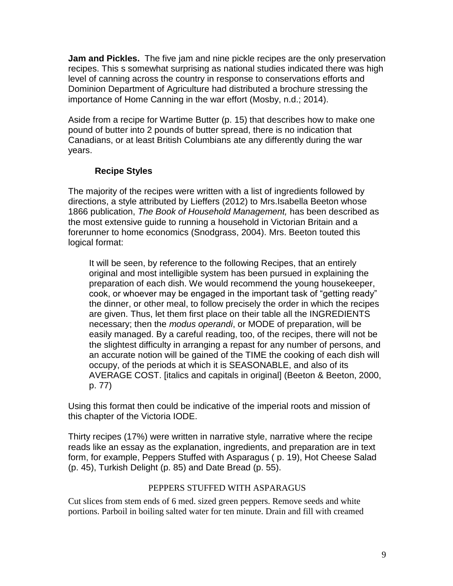**Jam and Pickles.** The five jam and nine pickle recipes are the only preservation recipes. This s somewhat surprising as national studies indicated there was high level of canning across the country in response to conservations efforts and Dominion Department of Agriculture had distributed a brochure stressing the importance of Home Canning in the war effort (Mosby, n.d.; 2014).

Aside from a recipe for Wartime Butter (p. 15) that describes how to make one pound of butter into 2 pounds of butter spread, there is no indication that Canadians, or at least British Columbians ate any differently during the war years.

## **Recipe Styles**

The majority of the recipes were written with a list of ingredients followed by directions, a style attributed by Lieffers (2012) to Mrs.Isabella Beeton whose 1866 publication, *The Book of Household Management,* has been described as the most extensive guide to running a household in Victorian Britain and a forerunner to home economics (Snodgrass, 2004). Mrs. Beeton touted this logical format:

It will be seen, by reference to the following Recipes, that an entirely original and most intelligible system has been pursued in explaining the preparation of each dish. We would recommend the young housekeeper, cook, or whoever may be engaged in the important task of "getting ready" the dinner, or other meal, to follow precisely the order in which the recipes are given. Thus, let them first place on their table all the INGREDIENTS necessary; then the *modus operandi*, or MODE of preparation, will be easily managed. By a careful reading, too, of the recipes, there will not be the slightest difficulty in arranging a repast for any number of persons, and an accurate notion will be gained of the TIME the cooking of each dish will occupy, of the periods at which it is SEASONABLE, and also of its AVERAGE COST. [italics and capitals in original] (Beeton & Beeton, 2000, p. 77)

Using this format then could be indicative of the imperial roots and mission of this chapter of the Victoria IODE.

Thirty recipes (17%) were written in narrative style, narrative where the recipe reads like an essay as the explanation, ingredients, and preparation are in text form, for example, Peppers Stuffed with Asparagus ( p. 19), Hot Cheese Salad (p. 45), Turkish Delight (p. 85) and Date Bread (p. 55).

## PEPPERS STUFFED WITH ASPARAGUS

Cut slices from stem ends of 6 med. sized green peppers. Remove seeds and white portions. Parboil in boiling salted water for ten minute. Drain and fill with creamed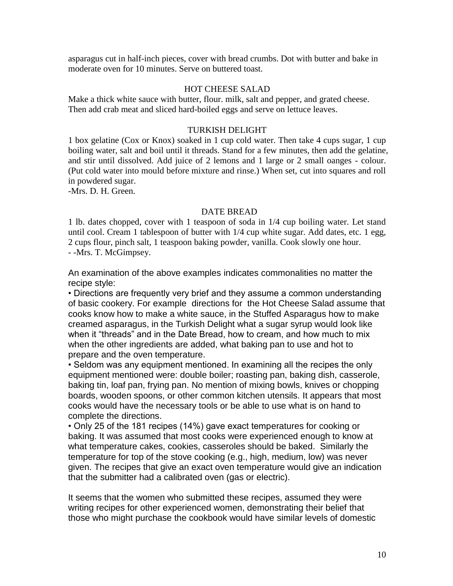asparagus cut in half-inch pieces, cover with bread crumbs. Dot with butter and bake in moderate oven for 10 minutes. Serve on buttered toast.

#### HOT CHEESE SALAD

Make a thick white sauce with butter, flour. milk, salt and pepper, and grated cheese. Then add crab meat and sliced hard-boiled eggs and serve on lettuce leaves.

#### TURKISH DELIGHT

1 box gelatine (Cox or Knox) soaked in 1 cup cold water. Then take 4 cups sugar, 1 cup boiling water, salt and boil until it threads. Stand for a few minutes, then add the gelatine, and stir until dissolved. Add juice of 2 lemons and 1 large or 2 small oanges - colour. (Put cold water into mould before mixture and rinse.) When set, cut into squares and roll in powdered sugar.

-Mrs. D. H. Green.

#### DATE BREAD

1 lb. dates chopped, cover with 1 teaspoon of soda in 1/4 cup boiling water. Let stand until cool. Cream 1 tablespoon of butter with 1/4 cup white sugar. Add dates, etc. 1 egg, 2 cups flour, pinch salt, 1 teaspoon baking powder, vanilla. Cook slowly one hour. - -Mrs. T. McGimpsey.

An examination of the above examples indicates commonalities no matter the recipe style:

• Directions are frequently very brief and they assume a common understanding of basic cookery. For example directions for the Hot Cheese Salad assume that cooks know how to make a white sauce, in the Stuffed Asparagus how to make creamed asparagus, in the Turkish Delight what a sugar syrup would look like when it "threads" and in the Date Bread, how to cream, and how much to mix when the other ingredients are added, what baking pan to use and hot to prepare and the oven temperature.

• Seldom was any equipment mentioned. In examining all the recipes the only equipment mentioned were: double boiler; roasting pan, baking dish, casserole, baking tin, loaf pan, frying pan. No mention of mixing bowls, knives or chopping boards, wooden spoons, or other common kitchen utensils. It appears that most cooks would have the necessary tools or be able to use what is on hand to complete the directions.

• Only 25 of the 181 recipes (14%) gave exact temperatures for cooking or baking. It was assumed that most cooks were experienced enough to know at what temperature cakes, cookies, casseroles should be baked. Similarly the temperature for top of the stove cooking (e.g., high, medium, low) was never given. The recipes that give an exact oven temperature would give an indication that the submitter had a calibrated oven (gas or electric).

It seems that the women who submitted these recipes, assumed they were writing recipes for other experienced women, demonstrating their belief that those who might purchase the cookbook would have similar levels of domestic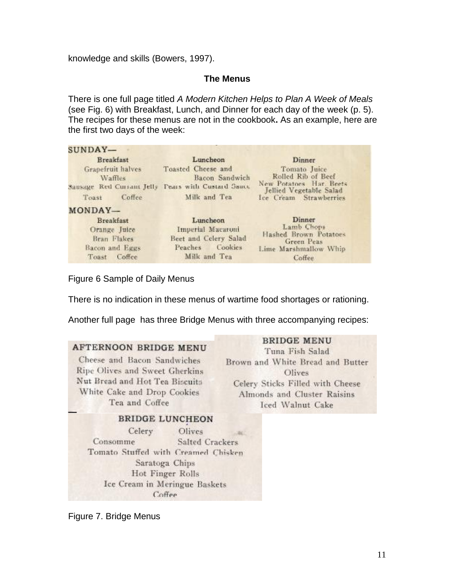knowledge and skills (Bowers, 1997).

### **The Menus**

There is one full page titled *A Modern Kitchen Helps to Plan A Week of Meals* (see Fig. 6) with Breakfast, Lunch, and Dinner for each day of the week (p. 5). The recipes for these menus are not in the cookbook**.** As an example, here are the first two days of the week:

| SUNDAY-                                                                                          |                                                                                              |                                                                                                                                     |
|--------------------------------------------------------------------------------------------------|----------------------------------------------------------------------------------------------|-------------------------------------------------------------------------------------------------------------------------------------|
| <b>Breakfast</b><br>Grapefruit halves<br>Waffles<br>Sausage Red Currant Jelly<br>Coffee<br>Toast | Luncheon<br>Toasted Cheese and<br>Bacon Sandwich<br>Fears with Custard Sauce<br>Milk and Tea | <b>Dinner</b><br>Tomato Juice<br>Rolled Rib of Beef<br>New Potatoes Har. Beets<br>Jellied Vegetable Salad<br>Ice Cream Strawberries |
| MONDAY-<br>Breakfast<br>Orange Juice<br>Bran Flakes<br>Bacon and Eggs<br>Toget Coffee            | Luncheon<br>Imperial Macaroni<br>Beet and Celery Salad<br>Peaches Cookies<br>Milk and Tea-   | Dinner<br>Lamb Chops<br>Hashed Brown Potatoes<br>Green Peas<br>Lime Marshmallow Whip<br>$\int$ of $\int$                            |

Figure 6 Sample of Daily Menus

There is no indication in these menus of wartime food shortages or rationing.

Another full page has three Bridge Menus with three accompanying recipes:

#### **AFTERNOON BRIDGE MENU** Cheese and Bacon Sandwiches Ripe Olives and Sweet Gherkins Nut Bread and Hot Tea Biscuits White Cake and Drop Cookies Tea and Coffee **BRIDGE LUNCHEON** Celery Olives ac. Consomme Salted Crackers Tomato Stuffed with Creamed Chisken Saratoga Chips

Hot Finger Rolls Ice Cream in Meringue Baskets  $C<sub>offee</sub>$ 

Figure 7. Bridge Menus

#### **BRIDGE MENU**

Tuna Fish Salad Brown and White Bread and Butter Olives Celery Sticks Filled with Cheese Almonds and Cluster Raisins **Iced Walnut Cake**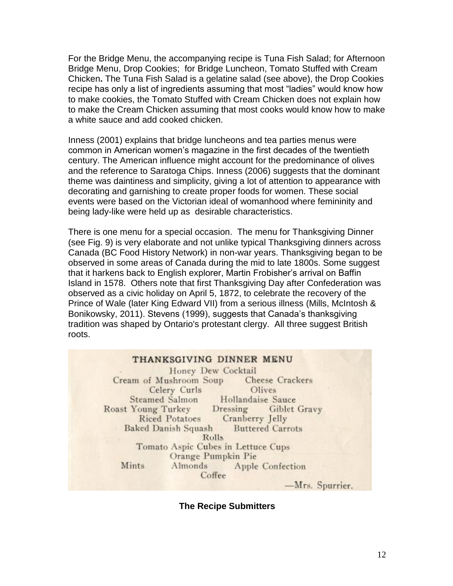For the Bridge Menu, the accompanying recipe is Tuna Fish Salad; for Afternoon Bridge Menu, Drop Cookies; for Bridge Luncheon, Tomato Stuffed with Cream Chicken**.** The Tuna Fish Salad is a gelatine salad (see above), the Drop Cookies recipe has only a list of ingredients assuming that most "ladies" would know how to make cookies, the Tomato Stuffed with Cream Chicken does not explain how to make the Cream Chicken assuming that most cooks would know how to make a white sauce and add cooked chicken.

Inness (2001) explains that bridge luncheons and tea parties menus were common in American women's magazine in the first decades of the twentieth century. The American influence might account for the predominance of olives and the reference to Saratoga Chips. Inness (2006) suggests that the dominant theme was daintiness and simplicity, giving a lot of attention to appearance with decorating and garnishing to create proper foods for women. These social events were based on the Victorian ideal of womanhood where femininity and being lady-like were held up as desirable characteristics.

There is one menu for a special occasion. The menu for Thanksgiving Dinner (see Fig. 9) is very elaborate and not unlike typical Thanksgiving dinners across Canada (BC Food History Network) in non-war years. Thanksgiving began to be observed in some areas of Canada during the mid to late 1800s. Some suggest that it harkens back to English explorer, Martin Frobisher's arrival on Baffin Island in 1578. Others note that first Thanksgiving Day after Confederation was observed as a civic holiday on April 5, 1872, to celebrate the recovery of the Prince of Wale (later King Edward VII) from a serious illness (Mills, McIntosh & Bonikowsky, 2011). Stevens (1999), suggests that Canada's thanksgiving tradition was shaped by Ontario's protestant clergy. All three suggest British roots.

#### THANKSGIVING DINNER MENU

Honey Dew Cocktail Cream of Mushroom Soup Cheese Crackers Celery Curls Olives Hollandaise Sauce Steamed Salmon Roast Young Turkey Giblet Gravy Dressing Cranberry Jelly **Riced Potatoes Baked Danish Squash Buttered Carrots Rolls** Tomato Aspic Cubes in Lettuce Cups Orange Pumpkin Pie Mints Almonds Apple Confection Coffee

-Mrs. Spurrier.

**The Recipe Submitters**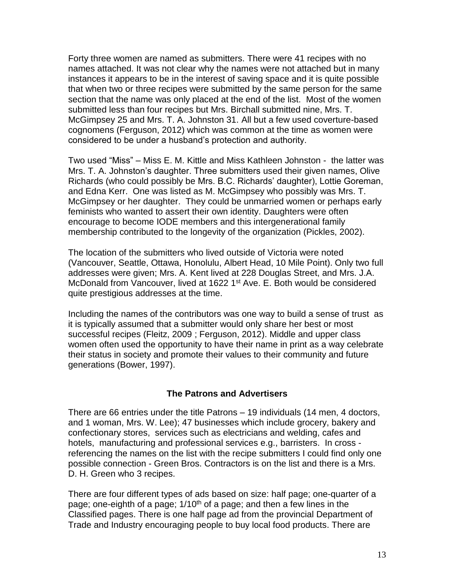Forty three women are named as submitters. There were 41 recipes with no names attached. It was not clear why the names were not attached but in many instances it appears to be in the interest of saving space and it is quite possible that when two or three recipes were submitted by the same person for the same section that the name was only placed at the end of the list. Most of the women submitted less than four recipes but Mrs. Birchall submitted nine, Mrs. T. McGimpsey 25 and Mrs. T. A. Johnston 31. All but a few used coverture-based cognomens (Ferguson, 2012) which was common at the time as women were considered to be under a husband's protection and authority.

Two used "Miss" – Miss E. M. Kittle and Miss Kathleen Johnston - the latter was Mrs. T. A. Johnston's daughter. Three submitters used their given names, Olive Richards (who could possibly be Mrs. B.C. Richards' daughter), Lottie Goreman, and Edna Kerr. One was listed as M. McGimpsey who possibly was Mrs. T. McGimpsey or her daughter. They could be unmarried women or perhaps early feminists who wanted to assert their own identity. Daughters were often encourage to become IODE members and this intergenerational family membership contributed to the longevity of the organization (Pickles, 2002).

The location of the submitters who lived outside of Victoria were noted (Vancouver, Seattle, Ottawa, Honolulu, Albert Head, 10 Mile Point). Only two full addresses were given; Mrs. A. Kent lived at 228 Douglas Street, and Mrs. J.A. McDonald from Vancouver, lived at 1622 1<sup>st</sup> Ave. E. Both would be considered quite prestigious addresses at the time.

Including the names of the contributors was one way to build a sense of trust as it is typically assumed that a submitter would only share her best or most successful recipes (Fleitz, 2009 ; Ferguson, 2012). Middle and upper class women often used the opportunity to have their name in print as a way celebrate their status in society and promote their values to their community and future generations (Bower, 1997).

### **The Patrons and Advertisers**

There are 66 entries under the title Patrons – 19 individuals (14 men, 4 doctors, and 1 woman, Mrs. W. Lee); 47 businesses which include grocery, bakery and confectionary stores, services such as electricians and welding, cafes and hotels, manufacturing and professional services e.g., barristers. In cross referencing the names on the list with the recipe submitters I could find only one possible connection - Green Bros. Contractors is on the list and there is a Mrs. D. H. Green who 3 recipes.

There are four different types of ads based on size: half page; one-quarter of a page; one-eighth of a page;  $1/10<sup>th</sup>$  of a page; and then a few lines in the Classified pages. There is one half page ad from the provincial Department of Trade and Industry encouraging people to buy local food products. There are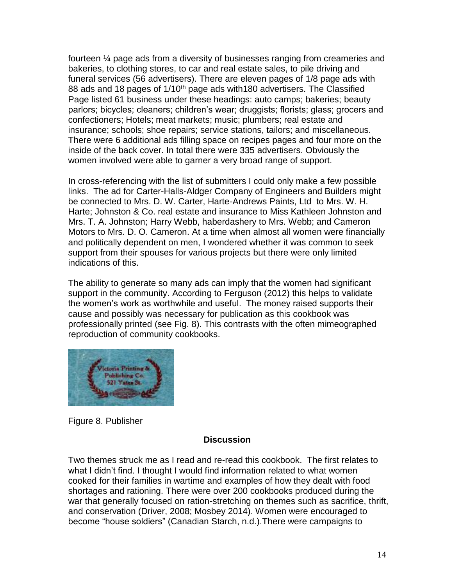fourteen ¼ page ads from a diversity of businesses ranging from creameries and bakeries, to clothing stores, to car and real estate sales, to pile driving and funeral services (56 advertisers). There are eleven pages of 1/8 page ads with 88 ads and 18 pages of 1/10<sup>th</sup> page ads with 180 advertisers. The Classified Page listed 61 business under these headings: auto camps; bakeries; beauty parlors; bicycles; cleaners; children's wear; druggists; florists; glass; grocers and confectioners; Hotels; meat markets; music; plumbers; real estate and insurance; schools; shoe repairs; service stations, tailors; and miscellaneous. There were 6 additional ads filling space on recipes pages and four more on the inside of the back cover. In total there were 335 advertisers. Obviously the women involved were able to garner a very broad range of support.

In cross-referencing with the list of submitters I could only make a few possible links. The ad for Carter-Halls-Aldger Company of Engineers and Builders might be connected to Mrs. D. W. Carter, Harte-Andrews Paints, Ltd to Mrs. W. H. Harte; Johnston & Co. real estate and insurance to Miss Kathleen Johnston and Mrs. T. A. Johnston; Harry Webb, haberdashery to Mrs. Webb; and Cameron Motors to Mrs. D. O. Cameron. At a time when almost all women were financially and politically dependent on men, I wondered whether it was common to seek support from their spouses for various projects but there were only limited indications of this.

The ability to generate so many ads can imply that the women had significant support in the community. According to Ferguson (2012) this helps to validate the women's work as worthwhile and useful. The money raised supports their cause and possibly was necessary for publication as this cookbook was professionally printed (see Fig. 8). This contrasts with the often mimeographed reproduction of community cookbooks.



Figure 8. Publisher

### **Discussion**

Two themes struck me as I read and re-read this cookbook. The first relates to what I didn't find. I thought I would find information related to what women cooked for their families in wartime and examples of how they dealt with food shortages and rationing. There were over 200 cookbooks produced during the war that generally focused on ration-stretching on themes such as sacrifice, thrift, and conservation (Driver, 2008; Mosbey 2014). Women were encouraged to become "house soldiers" (Canadian Starch, n.d.).There were campaigns to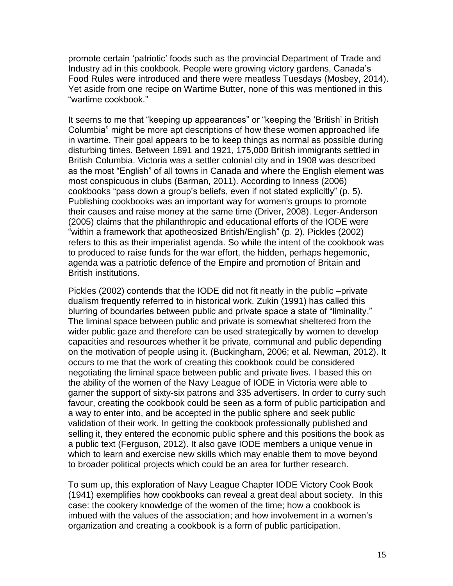promote certain 'patriotic' foods such as the provincial Department of Trade and Industry ad in this cookbook. People were growing victory gardens, Canada's Food Rules were introduced and there were meatless Tuesdays (Mosbey, 2014). Yet aside from one recipe on Wartime Butter, none of this was mentioned in this "wartime cookbook."

It seems to me that "keeping up appearances" or "keeping the 'British' in British Columbia" might be more apt descriptions of how these women approached life in wartime. Their goal appears to be to keep things as normal as possible during disturbing times. Between 1891 and 1921, 175,000 British immigrants settled in British Columbia. Victoria was a settler colonial city and in 1908 was described as the most "English" of all towns in Canada and where the English element was most conspicuous in clubs (Barman, 2011). According to Inness (2006) cookbooks "pass down a group's beliefs, even if not stated explicitly" (p. 5). Publishing cookbooks was an important way for women's groups to promote their causes and raise money at the same time (Driver, 2008). Leger-Anderson (2005) claims that the philanthropic and educational efforts of the IODE were "within a framework that apotheosized British/English" (p. 2). Pickles (2002) refers to this as their imperialist agenda. So while the intent of the cookbook was to produced to raise funds for the war effort, the hidden, perhaps hegemonic, agenda was a patriotic defence of the Empire and promotion of Britain and British institutions.

Pickles (2002) contends that the IODE did not fit neatly in the public –private dualism frequently referred to in historical work. Zukin (1991) has called this blurring of boundaries between public and private space a state of "liminality." The liminal space between public and private is somewhat sheltered from the wider public gaze and therefore can be used strategically by women to develop capacities and resources whether it be private, communal and public depending on the motivation of people using it. (Buckingham, 2006; et al. Newman, 2012). It occurs to me that the work of creating this cookbook could be considered negotiating the liminal space between public and private lives. I based this on the ability of the women of the Navy League of IODE in Victoria were able to garner the support of sixty-six patrons and 335 advertisers. In order to curry such favour, creating the cookbook could be seen as a form of public participation and a way to enter into, and be accepted in the public sphere and seek public validation of their work. In getting the cookbook professionally published and selling it, they entered the economic public sphere and this positions the book as a public text (Ferguson, 2012). It also gave IODE members a unique venue in which to learn and exercise new skills which may enable them to move beyond to broader political projects which could be an area for further research.

To sum up, this exploration of Navy League Chapter IODE Victory Cook Book (1941) exemplifies how cookbooks can reveal a great deal about society. In this case: the cookery knowledge of the women of the time; how a cookbook is imbued with the values of the association; and how involvement in a women's organization and creating a cookbook is a form of public participation.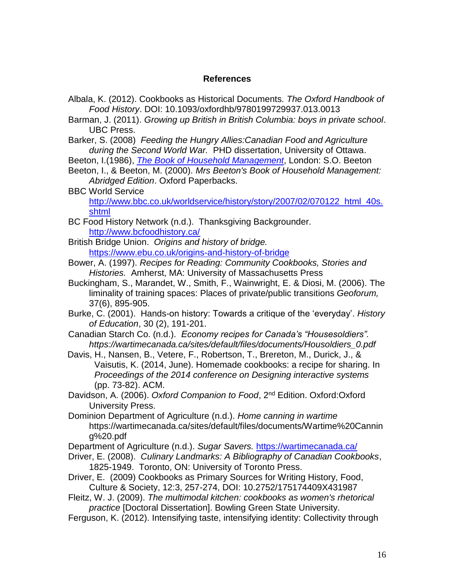### **References**

- Albala, K. (2012). Cookbooks as Historical Documents. *The Oxford Handbook of Food History*. DOI: 10.1093/oxfordhb/9780199729937.013.0013
- Barman, J. (2011). *Growing up British in British Columbia: boys in private school*. UBC Press.
- Barker, S. (2008) *Feeding the Hungry Allies:Canadian Food and Agriculture during the Second World War.* PHD dissertation, University of Ottawa.

Beeton, I.(1986), *The Book of Household Management*, London: S.O. Beeton

- Beeton, I., & Beeton, M. (2000). *Mrs Beeton's Book of Household Management: Abridged Edition*. Oxford Paperbacks.
- BBC World Service

http://www.bbc.co.uk/worldservice/history/story/2007/02/070122\_html\_40s. shtml

BC Food History Network (n.d.). Thanksgiving Backgrounder. http://www.bcfoodhistory.ca/

British Bridge Union. *Origins and history of bridge.*  https://www.ebu.co.uk/origins-and-history-of-bridge

- Bower, A. (1997). *Recipes for Reading: Community Cookbooks, Stories and Histories.* Amherst, MA: University of Massachusetts Press
- Buckingham, S., Marandet, W., Smith, F., Wainwright, E. & Diosi, M. (2006). The liminality of training spaces: Places of private/public transitions *Geoforum,* 37(6), 895-905.
- Burke, C. (2001). Hands-on history: Towards a critique of the 'everyday'. *History of Education*, 30 (2), 191-201.
- Canadian Starch Co. (n.d.). *Economy recipes for Canada's "Housesoldiers". https://wartimecanada.ca/sites/default/files/documents/Housoldiers\_0.pdf*
- Davis, H., Nansen, B., Vetere, F., Robertson, T., Brereton, M., Durick, J., & Vaisutis, K. (2014, June). Homemade cookbooks: a recipe for sharing. In *Proceedings of the 2014 conference on Designing interactive systems* (pp. 73-82). ACM.
- Davidson, A. (2006). *Oxford Companion to Food*, 2nd Edition. Oxford:Oxford University Press.
- Dominion Department of Agriculture (n.d.). *Home canning in wartime* https://wartimecanada.ca/sites/default/files/documents/Wartime%20Cannin g%20.pdf
- Department of Agriculture (n.d.). *Sugar Savers.* https://wartimecanada.ca/
- Driver, E. (2008). *Culinary Landmarks: A Bibliography of Canadian Cookbooks*, 1825-1949. Toronto, ON: University of Toronto Press.
- Driver, E. (2009) Cookbooks as Primary Sources for Writing History, Food, Culture & Society, 12:3, 257-274, DOI: 10.2752/175174409X431987
- Fleitz, W. J. (2009). *The multimodal kitchen: cookbooks as women's rhetorical practice* [Doctoral Dissertation]. Bowling Green State University.
- Ferguson, K. (2012). Intensifying taste, intensifying identity: Collectivity through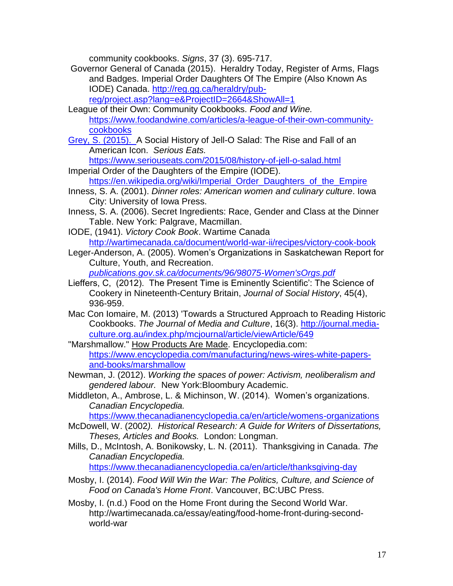community cookbooks. *Signs*, 37 (3). 695-717.

Governor General of Canada (2015). Heraldry Today, Register of Arms, Flags and Badges. Imperial Order Daughters Of The Empire (Also Known As IODE) Canada. http://reg.gg.ca/heraldry/pub-

reg/project.asp?lang=e&ProjectID=2664&ShowAll=1

- League of their Own: Community Cookbooks. *Food and Wine.* https://www.foodandwine.com/articles/a-league-of-their-own-communitycookbooks
- Grey, S. (2015). A Social History of Jell-O Salad: The Rise and Fall of an American Icon. *Serious Eats.*

<https://www.seriouseats.com/2015/08/history-of-jell-o-salad.html> Imperial Order of the Daughters of the Empire (IODE).

[https://en.wikipedia.org/wiki/Imperial\\_Order\\_Daughters\\_of\\_the\\_Empire](https://en.wikipedia.org/wiki/Imperial_Order_Daughters_of_the_Empire)

- Inness, S. A. (2001). *Dinner roles: American women and culinary culture*. Iowa City: University of Iowa Press.
- Inness, S. A. (2006). Secret Ingredients: Race, Gender and Class at the Dinner Table. New York: Palgrave, Macmillan.
- IODE, (1941). *Victory Cook Book*. Wartime Canada <http://wartimecanada.ca/document/world-war-ii/recipes/victory-cook-book>
- Leger-Anderson, A. (2005). Women's Organizations in Saskatchewan Report for Culture, Youth, and Recreation.

*publications.gov.sk.ca/documents/96/98075-Women'sOrgs.pdf*

- Lieffers, C, (2012). The Present Time is Eminently Scientific': The Science of Cookery in Nineteenth-Century Britain, *Journal of Social History*, 45(4), 936-959.
- Mac Con Iomaire, M. (2013) 'Towards a Structured Approach to Reading Historic Cookbooks. *The Journal of Media and Culture*, 16(3). [http://journal.media](http://journal.media-culture.org.au/index.php/mcjournal/article/viewArticle/649)[culture.org.au/index.php/mcjournal/article/viewArticle/649](http://journal.media-culture.org.au/index.php/mcjournal/article/viewArticle/649)
- "Marshmallow." How Products Are Made. Encyclopedia.com: [https://www.encyclopedia.com/manufacturing/news-wires-white-papers](https://www.encyclopedia.com/manufacturing/news-wires-white-papers-and-books/marshmallow)[and-books/marshmallow](https://www.encyclopedia.com/manufacturing/news-wires-white-papers-and-books/marshmallow)
- Newman, J. (2012). *Working the spaces of power: Activism, neoliberalism and gendered labour.* New York:Bloombury Academic.
- Middleton, A., Ambrose, L. & Michinson, W. (2014). Women's organizations. *Canadian Encyclopedia.*

<https://www.thecanadianencyclopedia.ca/en/article/womens-organizations>

- McDowell, W. (2002*). Historical Research: A Guide for Writers of Dissertations, Theses, Articles and Books.* London: Longman.
- Mills, D., McIntosh, A. Bonikowsky, L. N. (2011). Thanksgiving in Canada. *The Canadian Encyclopedia.*

<https://www.thecanadianencyclopedia.ca/en/article/thanksgiving-day>

- Mosby, I. (2014). *Food Will Win the War: The Politics, Culture, and Science of Food on Canada's Home Front*. Vancouver, BC:UBC Press.
- Mosby, I. (n.d.) Food on the Home Front during the Second World War. http://wartimecanada.ca/essay/eating/food-home-front-during-secondworld-war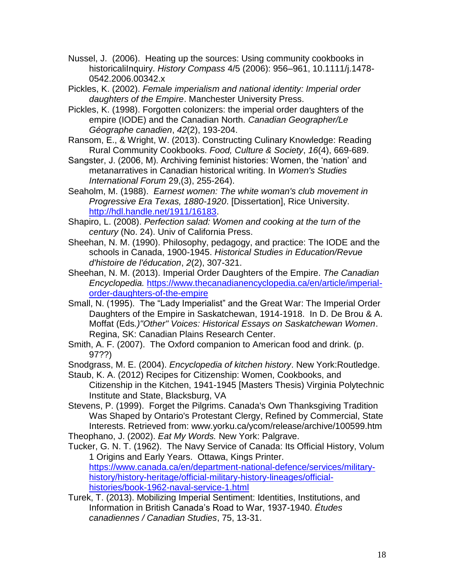- Nussel, J. (2006). Heating up the sources: Using community cookbooks in historicaliInquiry. *History Compass* 4/5 (2006): 956–961, 10.1111/j.1478- 0542.2006.00342.x
- Pickles, K. (2002). *Female imperialism and national identity: Imperial order daughters of the Empire*. Manchester University Press.
- Pickles, K. (1998). Forgotten colonizers: the imperial order daughters of the empire (IODE) and the Canadian North. *Canadian Geographer/Le Géographe canadien*, *42*(2), 193-204.
- Ransom, E., & Wright, W. (2013). Constructing Culinary Knowledge: Reading Rural Community Cookbooks. *Food, Culture & Society*, *16*(4), 669-689.
- Sangster, J. (2006, M). Archiving feminist histories: Women, the 'nation' and metanarratives in Canadian historical writing. In *Women's Studies International Forum* 29,(3), 255-264).
- Seaholm, M. (1988). *Earnest women: The white woman's club movement in Progressive Era Texas, 1880-1920*. [Dissertation], Rice University. [http://hdl.handle.net/1911/16183.](http://hdl.handle.net/1911/16183)
- Shapiro, L. (2008). *Perfection salad: Women and cooking at the turn of the century* (No. 24). Univ of California Press.
- Sheehan, N. M. (1990). Philosophy, pedagogy, and practice: The IODE and the schools in Canada, 1900-1945. *Historical Studies in Education/Revue d'histoire de l'éducation*, *2*(2), 307-321.
- Sheehan, N. M. (2013). Imperial Order Daughters of the Empire. *The Canadian Encyclopedia.* [https://www.thecanadianencyclopedia.ca/en/article/imperial](https://www.thecanadianencyclopedia.ca/en/article/imperial-order-daughters-of-the-empire)[order-daughters-of-the-empire](https://www.thecanadianencyclopedia.ca/en/article/imperial-order-daughters-of-the-empire)
- Small, N. (1995). The "Lady Imperialist" and the Great War: The Imperial Order Daughters of the Empire in Saskatchewan, 1914-1918. In D. De Brou & A. Moffat (Eds*.)"Other" Voices: Historical Essays on Saskatchewan Women*. Regina, SK: Canadian Plains Research Center.
- Smith, A. F. (2007). The Oxford companion to American food and drink. (p. 97??)
- Snodgrass, M. E. (2004). *Encyclopedia of kitchen history*. New York:Routledge.
- Staub, K. A. (2012) Recipes for Citizenship: Women, Cookbooks, and Citizenship in the Kitchen, 1941-1945 [Masters Thesis) Virginia Polytechnic Institute and State, Blacksburg, VA
- Stevens, P. (1999). Forget the Pilgrims. Canada's Own Thanksgiving Tradition Was Shaped by Ontario's Protestant Clergy, Refined by Commercial, State Interests. Retrieved from: www.yorku.ca/ycom/release/archive/100599.htm Theophano, J. (2002). *Eat My Words.* New York: Palgrave.
- Tucker, G. N. T. (1962). The Navy Service of Canada: Its Official History, Volum 1 Origins and Early Years. Ottawa, Kings Printer. [https://www.canada.ca/en/department-national-defence/services/military](https://www.canada.ca/en/department-national-defence/services/military-history/history-heritage/official-military-history-lineages/official-histories/book-1962-naval-service-1.html)[history/history-heritage/official-military-history-lineages/official-](https://www.canada.ca/en/department-national-defence/services/military-history/history-heritage/official-military-history-lineages/official-histories/book-1962-naval-service-1.html)

[histories/book-1962-naval-service-1.html](https://www.canada.ca/en/department-national-defence/services/military-history/history-heritage/official-military-history-lineages/official-histories/book-1962-naval-service-1.html)

Turek, T. (2013). Mobilizing Imperial Sentiment: Identities, Institutions, and Information in British Canada's Road to War, 1937-1940. *Études canadiennes / Canadian Studies*, 75, 13-31.